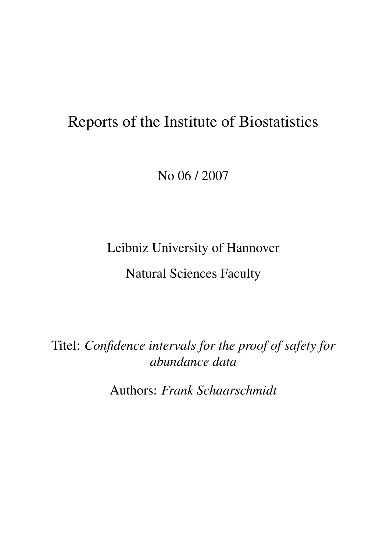# Reports of the Institute of Biostatistics

No 06 / 2007

Leibniz University of Hannover

Natural Sciences Faculty

Titel: *Confidence intervals for the proof of safety for abundance data*

Authors: *Frank Schaarschmidt*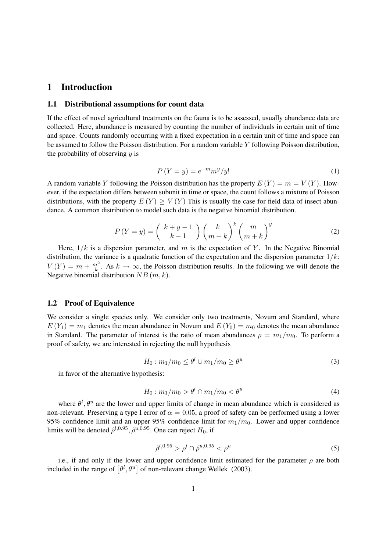## 1 Introduction

#### 1.1 Distributional assumptions for count data

If the effect of novel agricultural treatments on the fauna is to be assessed, usually abundance data are collected. Here, abundance is measured by counting the number of individuals in certain unit of time and space. Counts randomly occurring with a fixed expectation in a certain unit of time and space can be assumed to follow the Poisson distribution. For a random variable Y following Poisson distribution, the probability of observing  $y$  is

$$
P(Y = y) = e^{-m} m^y / y! \tag{1}
$$

A random variable Y following the Poisson distribution has the property  $E(Y) = m = V(Y)$ . However, if the expectation differs between subunit in time or space, the count follows a mixture of Poisson distributions, with the property  $E(Y) \geq V(Y)$  This is usually the case for field data of insect abundance. A common distribution to model such data is the negative binomial distribution.

$$
P(Y = y) = {k+y-1 \choose k-1} \left(\frac{k}{m+k}\right)^k \left(\frac{m}{m+k}\right)^y
$$
 (2)

Here,  $1/k$  is a dispersion parameter, and m is the expectation of Y. In the Negative Binomial distribution, the variance is a quadratic function of the expectation and the dispersion parameter  $1/k$ :  $V(Y) = m + \frac{m^2}{k}$  $\frac{n^2}{k}$ . As  $k \to \infty$ , the Poisson distribution results. In the following we will denote the Negative binomial distribution  $NB(m, k)$ .

#### 1.2 Proof of Equivalence

We consider a single species only. We consider only two treatments, Novum and Standard, where  $E(Y_1) = m_1$  denotes the mean abundance in Novum and  $E(Y_0) = m_0$  denotes the mean abundance in Standard. The parameter of interest is the ratio of mean abundances  $\rho = m_1/m_0$ . To perform a proof of safety, we are interested in rejecting the null hypothesis

$$
H_0: m_1/m_0 \le \theta^l \cup m_1/m_0 \ge \theta^u \tag{3}
$$

in favor of the alternative hypothesis:

$$
H_0: m_1/m_0 > \theta^l \cap m_1/m_0 < \theta^u \tag{4}
$$

where  $\theta^l$ ,  $\theta^u$  are the lower and upper limits of change in mean abundance which is considered as non-relevant. Preserving a type I error of  $\alpha = 0.05$ , a proof of safety can be performed using a lower 95% confidence limit and an upper 95% confidence limit for  $m_1/m_0$ . Lower and upper confidence limits will be denoted  $\hat{\rho}^{l,0.95}, \hat{\rho}^{u,0.95}$ . One can reject  $H_0$ , if

$$
\hat{\rho}^{l,0.95} > \rho^l \cap \hat{\rho}^{u,0.95} < \rho^u \tag{5}
$$

i.e., if and only if the lower and upper confidence limit estimated for the parameter  $\rho$  are both included in the range of  $\left[\theta^l, \theta^u\right]$  of non-relevant change Wellek (2003).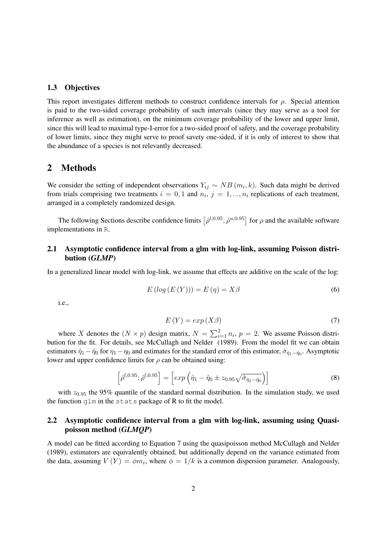#### 1.3 Objectives

This report investigates different methods to construct confidence intervals for  $\rho$ . Special attention is paid to the two-sided coverage probability of such intervals (since they may serve as a tool for inference as well as estimation), on the minimum coverage probability of the lower and upper limit, since this will lead to maximal type-I-error for a two-sided proof of safety, and the coverage probability of lower limits, since they might serve to proof savety one-sided, if it is only of interest to show that the abundance of a species is not relevantly decreased.

## 2 Methods

We consider the setting of independent observations  $Y_{ij} \sim NB(m_i, k)$ . Such data might be derived from trials comprising two treatments  $i = 0, 1$  and  $n_i$ ,  $j = 1, ..., n_i$  replications of each treatment, arranged in a completely randomized design.

The following Sections describe confidence limits  $[\hat{\rho}^{l,0.95}, \hat{\rho}^{u,0.95}]$  for  $\rho$  and the available software implementations in R.

## 2.1 Asymptotic confidence interval from a glm with log-link, assuming Poisson distribution (*GLMP*)

In a generalized linear model with log-link, we assume that effects are additive on the scale of the log:

$$
E\left(\log\left(E\left(Y\right)\right)\right) = E\left(\eta\right) = X\beta\tag{6}
$$

i.e.,

$$
E(Y) = exp(X\beta)
$$
\n(7)

where X denotes the  $(N \times p)$  design matrix,  $N = \sum_{i=1}^{2} n_i$ ,  $p = 2$ . We assume Poisson distribution for the fit. For details, see McCullagh and Nelder (1989). From the model fit we can obtain estimators  $\hat{\eta}_1 - \hat{\eta}_0$  for  $\eta_1 - \eta_0$  and estimates for the standard error of this estimator,  $\hat{\sigma}_{\hat{\eta}_1-\hat{\eta}_0}$ . Asymptotic lower and upper confidence limits for  $\rho$  can be obtained using:

$$
\left[\hat{\rho}^{l,0.95};\hat{\rho}^{l,0.95}\right] = \left[\exp\left(\hat{\eta}_1 - \hat{\eta}_0 \pm z_{0.95}\sqrt{\hat{\sigma}_{\hat{\eta}_1 - \hat{\eta}_0}}\right)\right]
$$
(8)

with  $z_{0.95}$  the 95% quantile of the standard normal distribution. In the simulation study, we used the function glm in the stats package of R to fit the model.

## 2.2 Asymptotic confidence interval from a glm with log-link, assuming using Quasipoisson method (*GLMQP*)

A model can be fitted according to Equation 7 using the quasipoisson method McCullagh and Nelder (1989), estimators are equivalently obtained, but additionally depend on the variance estimated from the data, assuming  $V(Y) = \phi m_i$ , where  $\phi = 1/k$  is a common dispersion parameter. Analogously,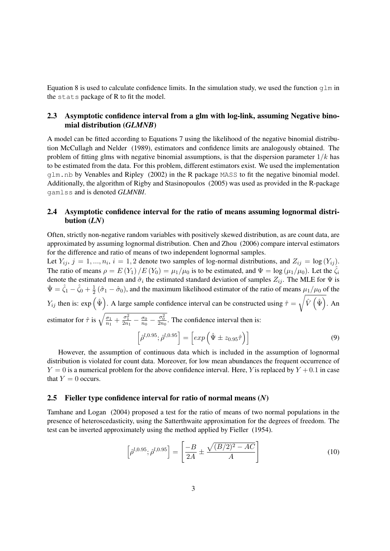Equation 8 is used to calculate confidence limits. In the simulation study, we used the function  $q \ln n$ the stats package of R to fit the model.

## 2.3 Asymptotic confidence interval from a glm with log-link, assuming Negative binomial distribution (*GLMNB*)

A model can be fitted according to Equations 7 using the likelihood of the negative binomial distribution McCullagh and Nelder (1989), estimators and confidence limits are analogously obtained. The problem of fitting glms with negative binomial assumptions, is that the dispersion parameter  $1/k$  has to be estimated from the data. For this problem, different estimators exist. We used the implementation glm.nb by Venables and Ripley (2002) in the R package MASS to fit the negative binomial model. Additionally, the algorithm of Rigby and Stasinopoulos (2005) was used as provided in the R-package gamlss and is denoted *GLMNBI*.

## 2.4 Asymptotic confidence interval for the ratio of means assuming lognormal distribution (*LN*)

Often, strictly non-negative random variables with positively skewed distribution, as are count data, are approximated by assuming lognormal distribution. Chen and Zhou (2006) compare interval estimators for the difference and ratio of means of two independent lognormal samples.

Let  $Y_{ij}, j = 1, ..., n_i, i = 1, 2$  denote two samples of log-normal distributions, and  $Z_{ij} = \log(Y_{ij})$ . The ratio of means  $\rho = E(Y_1)/E(Y_0) = \mu_1/\mu_0$  is to be estimated, and  $\Psi = \log(\mu_1/\mu_0)$ . Let the  $\hat{\zeta}_i$ denote the estimated mean and  $\hat{\sigma}_i$  the estimated standard deviation of samples  $Z_{ij}$ . The MLE for  $\Psi$  is  $\hat{\Psi} = \hat{\zeta}_1 - \hat{\zeta}_0 + \frac{1}{2}$  $\frac{1}{2}(\hat{\sigma}_1 - \hat{\sigma}_0)$ , and the maximum likelihood estimator of the ratio of means  $\mu_1/\mu_0$  of the  $Y_{ij}$  then is:  $\exp\left(\hat{\Psi}\right)$ . A large sample confidence interval can be constructed using  $\hat{\tau} =$  $\sqrt{\hat{V}(\hat{\Psi})}$ . An estimator for  $\hat{\tau}$  is  $\sqrt{\frac{\sigma_1}{n_1}}$  $\frac{\sigma_1}{n_1} + \frac{\sigma_1^2}{2n_1} - \frac{\sigma_0}{n_0}$  $\frac{\sigma_0}{n_0} - \frac{\sigma_0^2}{2n_0}$ . The confidence interval then is:  $\left[\hat{\rho}^{l,0.95};\hat{\rho}^{l,0.95}\right]=\left[\exp\left(\hat{\Psi}\pm z_{0.95}\hat{\tau}\right)\right]$  $\bigcap$  (9)

However, the assumption of continuous data which is included in the assumption of lognormal distribution is violated for count data. Moreover, for low mean abundances the frequent occurrence of  $Y = 0$  is a numerical problem for the above confidence interval. Here, Y is replaced by  $Y + 0.1$  in case that  $Y = 0$  occurs.

### 2.5 Fieller type confidence interval for ratio of normal means (*N*)

Tamhane and Logan (2004) proposed a test for the ratio of means of two normal populations in the presence of heteroscedasticity, using the Satterthwaite approximation for the degrees of freedom. The test can be inverted approximately using the method applied by Fieller (1954).

$$
\left[\hat{\rho}^{l,0.95};\hat{\rho}^{l,0.95}\right] = \left[\frac{-B}{2A} \pm \frac{\sqrt{(B/2)^2 - AC}}{A}\right]
$$
\n(10)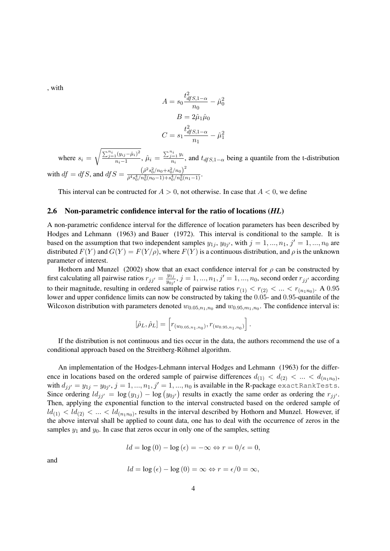, with

$$
A = s_0 \frac{t_{dfS,1-\alpha}^2}{n_0} - \hat{\mu}_0^2
$$

$$
B = 2\hat{\mu}_1 \hat{\mu}_0
$$

$$
C = s_1 \frac{t_{dfS,1-\alpha}^2}{n_1} - \hat{\mu}_1^2
$$

where  $s_i =$  $\sqrt{\sum_{j=1}^{n_i} (y_{ij}-\hat{\mu}_i)^2}$  $\frac{1}{n_i-1}(\frac{y_{ij}-\hat{\mu}_i}{n_i})^2}{n_i}$ ,  $\hat{\mu}_i = \frac{\sum_{j=1}^{n_i} y_i}{n_i}$  $\frac{n_i}{n_i}$ , and  $t_{dfS,1-\alpha}$  being a quantile from the t-distribution with  $df = dfS$ , and  $dfS = \frac{(\hat{\rho}^2 s_0^2 / n_0 + s_0^2 / n_0)^2}{\hat{\rho}^4 s_0^4 / n^2 (n_0 - 1) + s_0^4 / n^2 (n_0 + 1)}$  $\frac{(p\,s_0/n_0+s_0/n_0)}{\hat{\rho}^4s_0^4/n_0^2(n_0-1)+s_0^4/n_0^2(n_1-1)}$ .

This interval can be contructed for  $A > 0$ , not otherwise. In case that  $A < 0$ , we define

### 2.6 Non-parametric confidence interval for the ratio of locations (*HL*)

A non-parametric confidence interval for the difference of location parameters has been described by Hodges and Lehmann (1963) and Bauer (1972). This interval is conditional to the sample. It is based on the assumption that two independent samples  $y_{1j}$ ,  $y_{0j'}$ , with  $j = 1, ..., n_1$ ,  $j' = 1, ..., n_0$  are distributed  $F(Y)$  and  $G(Y) = F(Y/\rho)$ , where  $F(Y)$  is a continuous distribution, and  $\rho$  is the unknown parameter of interest.

Hothorn and Munzel (2002) show that an exact confidence interval for  $\rho$  can be constructed by first calculating all pairwise ratios  $r_{jj'} = \frac{y_{1j}}{y_{0j}}$  $\frac{y_{1j}}{y_{0j'}}, j = 1, ..., n_1, j' = 1, ..., n_0$ , second order  $r_{jj'}$  according to their magnitude, resulting in ordered sample of pairwise ratios  $r_{(1)} < r_{(2)} < ... < r_{(n_1n_0)}$ . A 0.95 lower and upper confidence limits can now be constructed by taking the 0.05- and 0.95-quantile of the Wilcoxon distribution with parameters denoted  $w_{0.05,n_1,n_0}$  and  $w_{0.95,m_1,n_0}$ . The confidence interval is:

$$
[\hat{\rho}_L, \hat{\rho}_L] = \left[ r_{(w_{0.05, n_1, n_0})}, r_{(w_{0.95, n_1, n_0})} \right].
$$

If the distribution is not continuous and ties occur in the data, the authors recommend the use of a conditional approach based on the Streitberg-Röhmel algorithm.

An implementation of the Hodges-Lehmann interval Hodges and Lehmann (1963) for the difference in locations based on the ordered sample of pairwise differences  $d_{(1)} < d_{(2)} < ... < d_{(n_1n_0)}$ , with  $d_{jj'}=y_{1j}-y_{0j'}, j=1,...,n_1, j'=1,...,n_0$  is available in the R-package exactRankTests. Since ordering  $ld_{jj'} = \log(y_{1j}) - \log(y_{0j'})$  results in exactly the same order as ordering the  $r_{jj'}$ . Then, applying the exponential function to the interval constructed based on the ordered sample of  $ld_{(1)} < ld_{(2)} < ... < ld_{(n_1n_0)}$ , results in the interval described by Hothorn and Munzel. However, if the above interval shall be applied to count data, one has to deal with the occurrence of zeros in the samples  $y_1$  and  $y_0$ . In case that zeros occur in only one of the samples, setting

$$
ld = \log(0) - \log(\epsilon) = -\infty \Leftrightarrow r = 0/\epsilon = 0,
$$

and

$$
ld = \log(\epsilon) - \log(0) = \infty \Leftrightarrow r = \epsilon/0 = \infty,
$$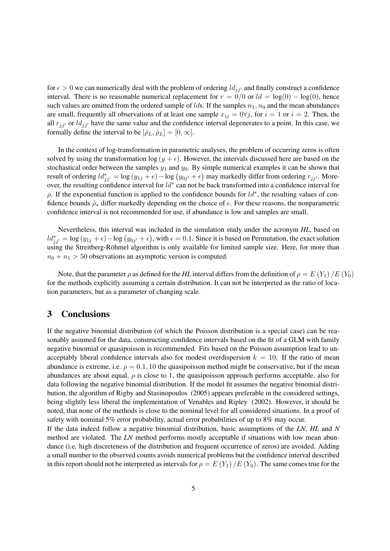for  $\epsilon > 0$  we can numerically deal with the problem of ordering  $ld_{ij'}$  and finally construct a confidence interval. There is no reasonable numerical replacement for  $r = 0/0$  or  $ld = \log(0) - \log(0)$ , hence such values are omitted from the ordered sample of *lds*. If the samples  $n_1$ ,  $n_0$  and the mean abundances are small, frequently all observations of at least one sample  $x_{ij} = 0 \forall j$ , for  $i = 1$  or  $i = 2$ . Then, the all  $r_{ji'}$  or  $ld_{ji'}$  have the same value and the confidence interval degenerates to a point. In this case, we formally define the interval to be  $[\hat{\rho}_L, \hat{\rho}_L] = [0, \infty]$ .

In the context of log-transformation in parametric analyses, the problem of occurring zeros is often solved by using the transformation  $\log(y + \epsilon)$ . However, the intervals discussed here are based on the stochastical order between the samples  $y_1$  and  $y_0$ . By simple numerical examples it can be shown that result of ordering  $ld_{jj'}^* = \log(y_{1j} + \epsilon) - \log(y_{0j'} + \epsilon)$  may markedly differ from ordering  $r_{jj'}$ . Moreover, the resulting confidence interval for  $ld^*$  can not be back transformed into a confidence interval for  $\rho$ . If the exponential function is applied to the confidence bounds for  $ld^*$ , the resulting values of confidence bounds  $\hat{\rho}_*$  differ markedly depending on the choice of  $\epsilon$ . For these reasons, the nonparametric confidence interval is not recommended for use, if abundance is low and samples are small.

Nevertheless, this interval was included in the simulation study under the acronym *HL*, based on  $ld_{jj'}^* = \log(y_{1j} + \epsilon) - \log(y_{0j'} + \epsilon)$ , with  $\epsilon = 0.1$ . Since it is based on Permutation, the exact solution using the Streitberg-Röhmel algorithm is only available for limited sample size. Here, for more than  $n_0 + n_1 > 50$  observations an asymptotic version is computed.

Note, that the parameter  $\rho$  as defined for the *HL* interval differs from the definition of  $\rho = E(Y_1)/E(Y_0)$ for the methods explicitly assuming a certain distribution. It can not be interpreted as the ratio of location parameters, but as a parameter of changing scale.

# 3 Conclusions

If the negative binomial distribution (of which the Poisson distribution is a special case) can be reasonably assumed for the data, constructing confidence intervals based on the fit of a GLM with family negative binomial or quasipoisson is recommended. Fits based on the Poisson assumption lead to unacceptably liberal confidence intervals also for modest overdispersion  $k = 10$ . If the ratio of mean abundance is extreme, i.e.  $\rho = 0.1, 10$  the quasipoisson method might be conservative, but if the mean abundances are about equal,  $\rho$  is close to 1, the quasipoisson approach performs acceptable, also for data following the negative binomial distribution. If the model fit assumes the negative binomial distribution, the algorithm of Rigby and Stasinopoulos (2005) appears preferable in the considered settings, being slightly less liberal the implementation of Venables and Ripley (2002). However, it should be noted, that none of the methods is close to the nominal level for all considered situations. In a proof of safety with nominal 5% error probability, actual error probabilities of up to 8% may occur.

If the data indeed follow a negative binomial distribution, basic assumptions of the *LN*, *HL* and *N* method are violated. The *LN* method performs mostly acceptable if situations with low mean abundance (i.e. high discreteness of the distribution and frequent occurrence of zeros) are avoided. Adding a small number to the observed counts avoids numerical problems but the confidence interval described in this report should not be interpreted as intervals for  $\rho = E(Y_1)/E(Y_0)$ . The same comes true for the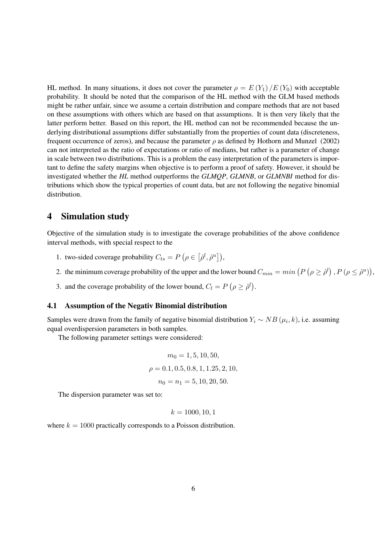HL method. In many situations, it does not cover the parameter  $\rho = E(Y_1)/E(Y_0)$  with acceptable probability. It should be noted that the comparison of the HL method with the GLM based methods might be rather unfair, since we assume a certain distribution and compare methods that are not based on these assumptions with others which are based on that assumptions. It is then very likely that the latter perform better. Based on this report, the HL method can not be recommended because the underlying distributional assumptions differ substantially from the properties of count data (discreteness, frequent occurrence of zeros), and because the parameter  $\rho$  as defined by Hothorn and Munzel (2002) can not interpreted as the ratio of expectations or ratio of medians, but rather is a parameter of change in scale between two distributions. This is a problem the easy interpretation of the parameters is important to define the safety margins when objective is to perform a proof of safety. However, it should be investigated whether the *HL* method outperforms the *GLMQP*, *GLMNB*, or *GLMNBI* method for distributions which show the typical properties of count data, but are not following the negative binomial distribution.

## 4 Simulation study

Objective of the simulation study is to investigate the coverage probabilities of the above confidence interval methods, with special respect to the

- 1. two-sided coverage probability  $C_{ts} = P(\rho \in [\hat{\rho}^l, \hat{\rho}^u]),$
- 2. the minimum coverage probability of the upper and the lower bound  $C_{min} = min(P(\rho \ge \hat{\rho}^l), P(\rho \le \hat{\rho}^u)),$
- 3. and the coverage probability of the lower bound,  $C_l = P(\rho \geq \hat{\rho}^l)$ .

#### 4.1 Assumption of the Negativ Binomial distribution

Samples were drawn from the family of negative binomial distribution  $Y_i \sim NB(\mu_i, k)$ , i.e. assuming equal overdispersion parameters in both samples.

The following parameter settings were considered:

$$
m_0 = 1, 5, 10, 50,
$$
  

$$
\rho = 0.1, 0.5, 0.8, 1, 1.25, 2, 10,
$$
  

$$
n_0 = n_1 = 5, 10, 20, 50.
$$

The dispersion parameter was set to:

$$
k = 1000, 10, 1
$$

where  $k = 1000$  practically corresponds to a Poisson distribution.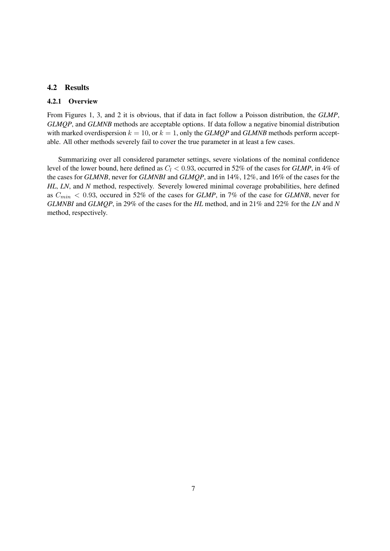## 4.2 Results

#### 4.2.1 Overview

From Figures 1, 3, and 2 it is obvious, that if data in fact follow a Poisson distribution, the *GLMP*, *GLMQP*, and *GLMNB* methods are acceptable options. If data follow a negative binomial distribution with marked overdispersion  $k = 10$ , or  $k = 1$ , only the *GLMQP* and *GLMNB* methods perform acceptable. All other methods severely fail to cover the true parameter in at least a few cases.

Summarizing over all considered parameter settings, severe violations of the nominal confidence level of the lower bound, here defined as  $C_l < 0.93$ , occurred in 52% of the cases for *GLMP*, in 4% of the cases for *GLMNB*, never for *GLMNBI* and *GLMQP*, and in 14%, 12%, and 16% of the cases for the *HL*, *LN*, and *N* method, respectively. Severely lowered minimal coverage probabilities, here defined as  $C_{min}$  < 0.93, occured in 52% of the cases for *GLMP*, in 7% of the case for *GLMNB*, never for *GLMNBI* and *GLMQP*, in 29% of the cases for the *HL* method, and in 21% and 22% for the *LN* and *N* method, respectively.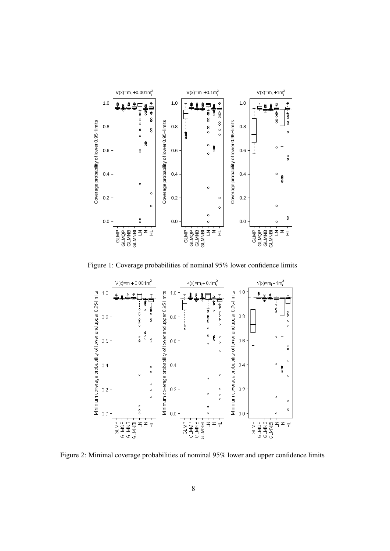

Figure 1: Coverage probabilities of nominal 95% lower confidence limits



Figure 2: Minimal coverage probabilities of nominal 95% lower and upper confidence limits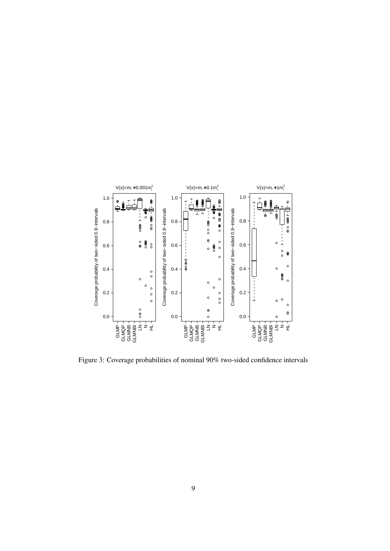

Figure 3: Coverage probabilities of nominal 90% two-sided confidence intervals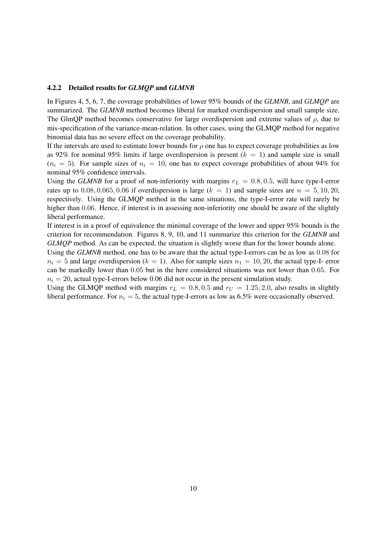#### 4.2.2 Detailed results for *GLMQP* and *GLMNB*

In Figures 4, 5, 6, 7, the coverage probabilities of lower 95% bounds of the *GLMNB*, and *GLMQP* are summarized. The *GLMNB* method becomes liberal for marked overdispersion and small sample size. The GlmOP method becomes conservative for large overdispersion and extreme values of  $\rho$ , due to mis-specification of the variance-mean-relation. In other cases, using the GLMQP method for negative binomial data has no severe effect on the coverage probability.

If the intervals are used to estimate lower bounds for  $\rho$  one has to expect coverage probabilities as low as 92% for nominal 95% limits if large overdispersion is present  $(k = 1)$  and sample size is small  $(n_i = 5)$ . For sample sizes of  $n_i = 10$ , one has to expect coverage probabilities of about 94% for nominal 95% confidence intervals.

Using the *GLMNB* for a proof of non-inferiority with margins  $r_L = 0.8, 0.5$ , will have type-I-error rates up to  $0.08, 0.065, 0.06$  if overdispersion is large  $(k = 1)$  and sample sizes are  $n = 5, 10, 20$ , respectively. Using the GLMQP method in the same situations, the type-I-error rate will rarely be higher than 0.06. Hence, if interest is in assessing non-inferiority one should be aware of the slightly liberal performance.

If interest is in a proof of equivalence the minimal coverage of the lower and upper 95% bounds is the criterion for recommendation. Figures 8, 9, 10, and 11 summarize this criterion for the *GLMNB* and *GLMQP* method. As can be expected, the situation is slightly worse than for the lower bounds alone.

Using the *GLMNB* method, one has to be aware that the actual type-I-errors can be as low as 0.08 for  $n_i = 5$  and large overdispersion ( $k = 1$ ). Also for sample sizes  $n_1 = 10, 20$ , the actual type-I- error can be markedly lower than 0.05 but in the here considered situations was not lower than 0.65. For  $n_i = 20$ , actual type-I-errors below 0.06 did not occur in the present simulation study.

Using the GLMQP method with margins  $r_L = 0.8, 0.5$  and  $r_U = 1.25, 2.0$ , also results in slightly liberal performance. For  $n_i = 5$ , the actual type-I-errors as low as 6.5% were occasionally observed.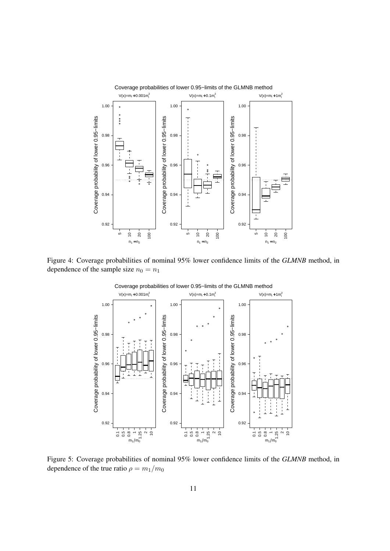

Figure 4: Coverage probabilities of nominal 95% lower confidence limits of the *GLMNB* method, in dependence of the sample size  $n_0 = n_1$ 



Coverage probabilities of lower 0.95−limits of the GLMNB method

Figure 5: Coverage probabilities of nominal 95% lower confidence limits of the *GLMNB* method, in dependence of the true ratio  $\rho = m_1/m_0$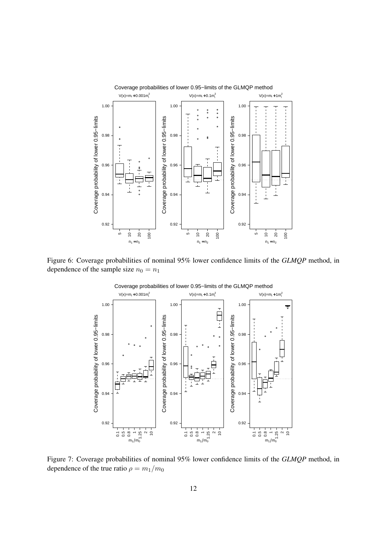

Figure 6: Coverage probabilities of nominal 95% lower confidence limits of the *GLMQP* method, in dependence of the sample size  $n_0 = n_1$ 



Coverage probabilities of lower 0.95−limits of the GLMQP method

Figure 7: Coverage probabilities of nominal 95% lower confidence limits of the *GLMQP* method, in dependence of the true ratio  $\rho = m_1/m_0$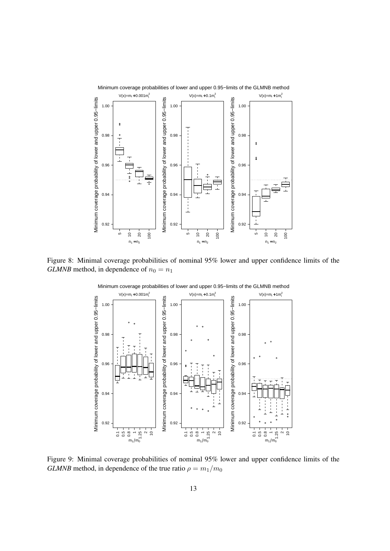

Figure 8: Minimal coverage probabilities of nominal 95% lower and upper confidence limits of the *GLMNB* method, in dependence of  $n_0 = n_1$ 



Minimum coverage probabilities of lower and upper 0.95−limits of the GLMNB method

Figure 9: Minimal coverage probabilities of nominal 95% lower and upper confidence limits of the *GLMNB* method, in dependence of the true ratio  $\rho = m_1/m_0$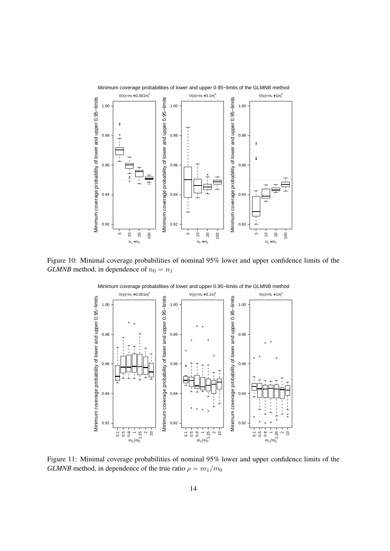

Figure 10: Minimal coverage probabilities of nominal 95% lower and upper confidence limits of the *GLMNB* method, in dependence of  $n_0 = n_1$ 



Minimum coverage probabilities of lower and upper 0.95−limits of the GLMNB method

Figure 11: Minimal coverage probabilities of nominal 95% lower and upper confidence limits of the *GLMNB* method, in dependence of the true ratio  $\rho = m_1/m_0$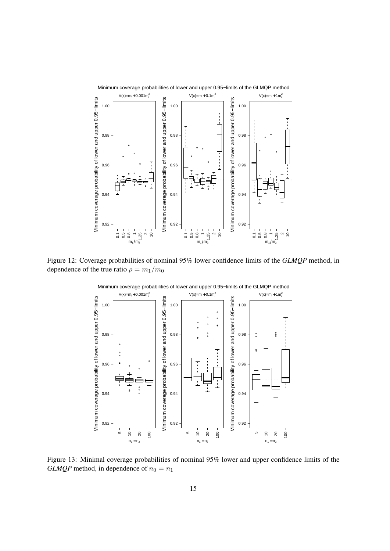

Figure 12: Coverage probabilities of nominal 95% lower confidence limits of the *GLMQP* method, in dependence of the true ratio  $\rho = m_1/m_0$ 



Minimum coverage probabilities of lower and upper 0.95−limits of the GLMQP method

Figure 13: Minimal coverage probabilities of nominal 95% lower and upper confidence limits of the *GLMQP* method, in dependence of  $n_0 = n_1$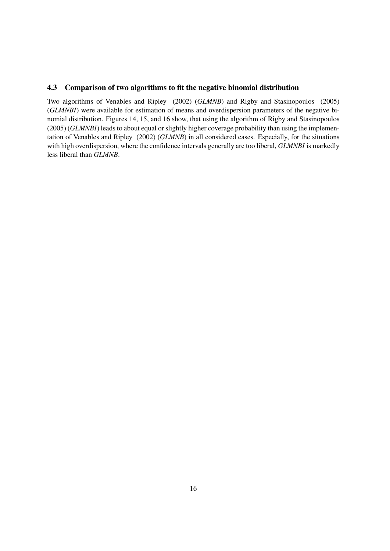## 4.3 Comparison of two algorithms to fit the negative binomial distribution

Two algorithms of Venables and Ripley (2002) (*GLMNB*) and Rigby and Stasinopoulos (2005) (*GLMNBI*) were available for estimation of means and overdispersion parameters of the negative binomial distribution. Figures 14, 15, and 16 show, that using the algorithm of Rigby and Stasinopoulos (2005) (*GLMNBI*) leads to about equal or slightly higher coverage probability than using the implementation of Venables and Ripley (2002) (*GLMNB*) in all considered cases. Especially, for the situations with high overdispersion, where the confidence intervals generally are too liberal, *GLMNBI* is markedly less liberal than *GLMNB*.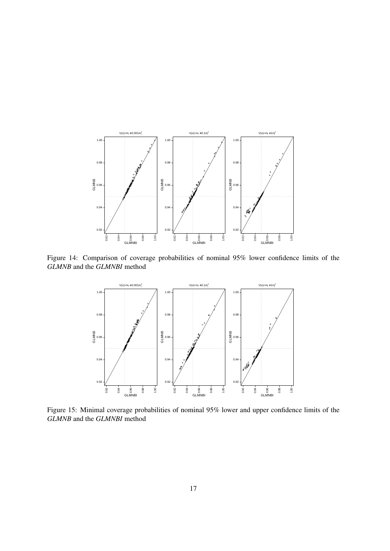

Figure 14: Comparison of coverage probabilities of nominal 95% lower confidence limits of the *GLMNB* and the *GLMNBI* method



Figure 15: Minimal coverage probabilities of nominal 95% lower and upper confidence limits of the *GLMNB* and the *GLMNBI* method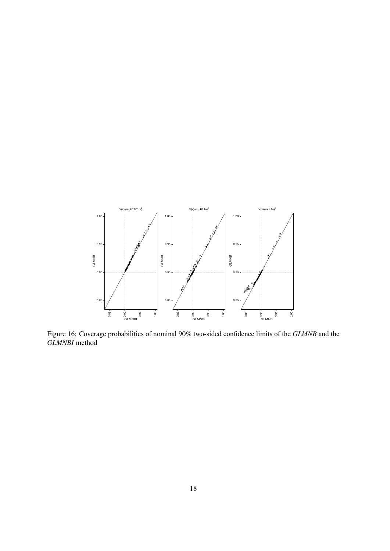

Figure 16: Coverage probabilities of nominal 90% two-sided confidence limits of the *GLMNB* and the *GLMNBI* method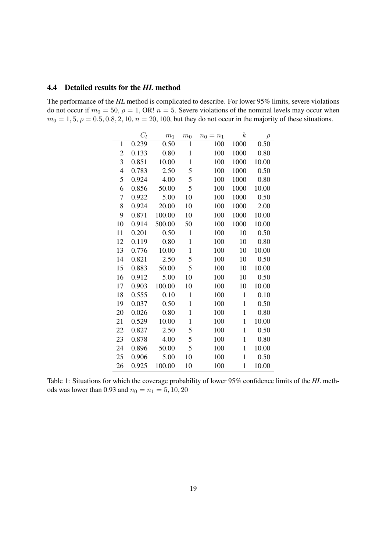#### 4.4 Detailed results for the *HL* method

The performance of the *HL* method is complicated to describe. For lower 95% limits, severe violations do not occur if  $m_0 = 50$ ,  $\rho = 1$ , OR!  $n = 5$ . Severe violations of the nominal levels may occur when  $m_0 = 1, 5, \rho = 0.5, 0.8, 2, 10, n = 20, 100$ , but they do not occur in the majority of these situations.

|                | $C_l$ | m <sub>1</sub> | m <sub>0</sub> | $n_0$<br>$n_1$<br>$=$ | $\boldsymbol{k}$ | $\rho$ |
|----------------|-------|----------------|----------------|-----------------------|------------------|--------|
| $\mathbf{1}$   | 0.239 | 0.50           | $\mathbf{1}$   | 100                   | 1000             | 0.50   |
| $\overline{c}$ | 0.133 | 0.80           | $\mathbf 1$    | 100                   | 1000             | 0.80   |
| 3              | 0.851 | 10.00          | $\mathbf{1}$   | 100                   | 1000             | 10.00  |
| $\overline{4}$ | 0.783 | 2.50           | 5              | 100                   | 1000             | 0.50   |
| 5              | 0.924 | 4.00           | 5              | 100                   | 1000             | 0.80   |
| 6              | 0.856 | 50.00          | 5              | 100                   | 1000             | 10.00  |
| 7              | 0.922 | 5.00           | 10             | 100                   | 1000             | 0.50   |
| 8              | 0.924 | 20.00          | 10             | 100                   | 1000             | 2.00   |
| 9              | 0.871 | 100.00         | 10             | 100                   | 1000             | 10.00  |
| 10             | 0.914 | 500.00         | 50             | 100                   | 1000             | 10.00  |
| 11             | 0.201 | 0.50           | $\mathbf{1}$   | 100                   | 10               | 0.50   |
| 12             | 0.119 | 0.80           | $\mathbf 1$    | 100                   | 10               | 0.80   |
| 13             | 0.776 | 10.00          | $\mathbf{1}$   | 100                   | 10               | 10.00  |
| 14             | 0.821 | 2.50           | 5              | 100                   | 10               | 0.50   |
| 15             | 0.883 | 50.00          | 5              | 100                   | 10               | 10.00  |
| 16             | 0.912 | 5.00           | 10             | 100                   | 10               | 0.50   |
| 17             | 0.903 | 100.00         | 10             | 100                   | 10               | 10.00  |
| 18             | 0.555 | 0.10           | $\mathbf{1}$   | 100                   | $\mathbf{1}$     | 0.10   |
| 19             | 0.037 | 0.50           | $\mathbf 1$    | 100                   | $\mathbf{1}$     | 0.50   |
| 20             | 0.026 | 0.80           | $\mathbf 1$    | 100                   | $\mathbf{1}$     | 0.80   |
| 21             | 0.529 | 10.00          | $\mathbf{1}$   | 100                   | $\mathbf{1}$     | 10.00  |
| 22             | 0.827 | 2.50           | 5              | 100                   | $\mathbf{1}$     | 0.50   |
| 23             | 0.878 | 4.00           | 5              | 100                   | $\mathbf{1}$     | 0.80   |
| 24             | 0.896 | 50.00          | 5              | 100                   | $\mathbf 1$      | 10.00  |
| 25             | 0.906 | 5.00           | 10             | 100                   | $\mathbf{1}$     | 0.50   |
| 26             | 0.925 | 100.00         | 10             | 100                   | 1                | 10.00  |

Table 1: Situations for which the coverage probability of lower 95% confidence limits of the *HL* methods was lower than 0.93 and  $n_0 = n_1 = 5, 10, 20$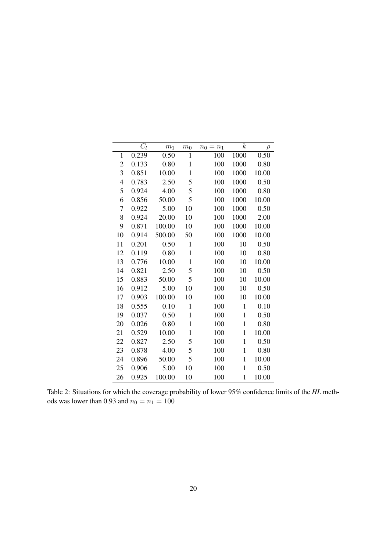|                | $C_l$ | $m_1$  | m <sub>0</sub> | $n_0$<br>$= n_1$ | $\boldsymbol{k}$ | $\rho$ |
|----------------|-------|--------|----------------|------------------|------------------|--------|
| 1              | 0.239 | 0.50   | $\mathbf 1$    | 100              | 1000             | 0.50   |
| $\overline{c}$ | 0.133 | 0.80   | $\mathbf{1}$   | 100              | 1000             | 0.80   |
| 3              | 0.851 | 10.00  | $\mathbf{1}$   | 100              | 1000             | 10.00  |
| $\overline{4}$ | 0.783 | 2.50   | 5              | 100              | 1000             | 0.50   |
| 5              | 0.924 | 4.00   | 5              | 100              | 1000             | 0.80   |
| 6              | 0.856 | 50.00  | 5              | 100              | 1000             | 10.00  |
| 7              | 0.922 | 5.00   | 10             | 100              | 1000             | 0.50   |
| 8              | 0.924 | 20.00  | 10             | 100              | 1000             | 2.00   |
| 9              | 0.871 | 100.00 | 10             | 100              | 1000             | 10.00  |
| 10             | 0.914 | 500.00 | 50             | 100              | 1000             | 10.00  |
| 11             | 0.201 | 0.50   | $\mathbf{1}$   | 100              | 10               | 0.50   |
| 12             | 0.119 | 0.80   | $\mathbf{1}$   | 100              | 10               | 0.80   |
| 13             | 0.776 | 10.00  | $\mathbf{1}$   | 100              | 10               | 10.00  |
| 14             | 0.821 | 2.50   | 5              | 100              | 10               | 0.50   |
| 15             | 0.883 | 50.00  | 5              | 100              | 10               | 10.00  |
| 16             | 0.912 | 5.00   | 10             | 100              | 10               | 0.50   |
| 17             | 0.903 | 100.00 | 10             | 100              | 10               | 10.00  |
| 18             | 0.555 | 0.10   | $\mathbf{1}$   | 100              | $\mathbf{1}$     | 0.10   |
| 19             | 0.037 | 0.50   | $\mathbf{1}$   | 100              | $\mathbf 1$      | 0.50   |
| 20             | 0.026 | 0.80   | $\mathbf{1}$   | 100              | $\mathbf 1$      | 0.80   |
| 21             | 0.529 | 10.00  | $\mathbf{1}$   | 100              | $\mathbf{1}$     | 10.00  |
| 22             | 0.827 | 2.50   | 5              | 100              | $\mathbf 1$      | 0.50   |
| 23             | 0.878 | 4.00   | 5              | 100              | $\mathbf 1$      | 0.80   |
| 24             | 0.896 | 50.00  | 5              | 100              | $\mathbf 1$      | 10.00  |
| 25             | 0.906 | 5.00   | 10             | 100              | $\mathbf 1$      | 0.50   |
| 26             | 0.925 | 100.00 | 10             | 100              | 1                | 10.00  |

Table 2: Situations for which the coverage probability of lower 95% confidence limits of the *HL* methods was lower than 0.93 and  $n_0 = n_1 = 100$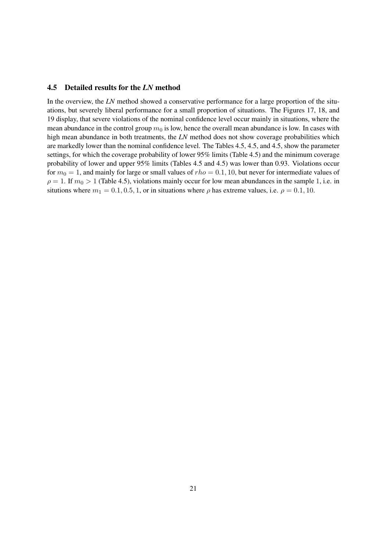#### 4.5 Detailed results for the *LN* method

In the overview, the *LN* method showed a conservative performance for a large proportion of the situations, but severely liberal performance for a small proportion of situations. The Figures 17, 18, and 19 display, that severe violations of the nominal confidence level occur mainly in situations, where the mean abundance in the control group  $m_0$  is low, hence the overall mean abundance is low. In cases with high mean abundance in both treatments, the *LN* method does not show coverage probabilities which are markedly lower than the nominal confidence level. The Tables 4.5, 4.5, and 4.5, show the parameter settings, for which the coverage probability of lower 95% limits (Table 4.5) and the minimum coverage probability of lower and upper 95% limits (Tables 4.5 and 4.5) was lower than 0.93. Violations occur for  $m_0 = 1$ , and mainly for large or small values of  $rho = 0.1, 10$ , but never for intermediate values of  $\rho = 1$ . If  $m_0 > 1$  (Table 4.5), violations mainly occur for low mean abundances in the sample 1, i.e. in situtions where  $m_1 = 0.1, 0.5, 1$ , or in situations where  $\rho$  has extreme values, i.e.  $\rho = 0.1, 10$ .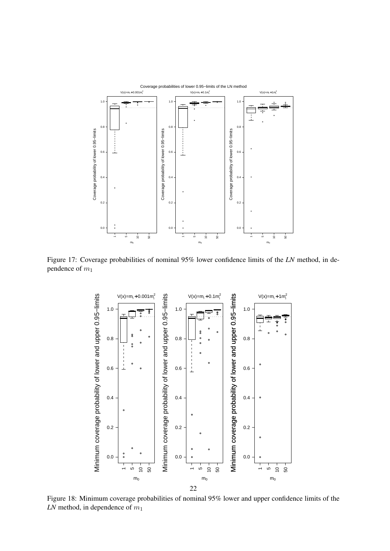

Figure 17: Coverage probabilities of nominal 95% lower confidence limits of the *LN* method, in dependence of  $m_1$ 



Figure 18: Minimum coverage probabilities of nominal 95% lower and upper confidence limits of the  $LN$  method, in dependence of  $m_1$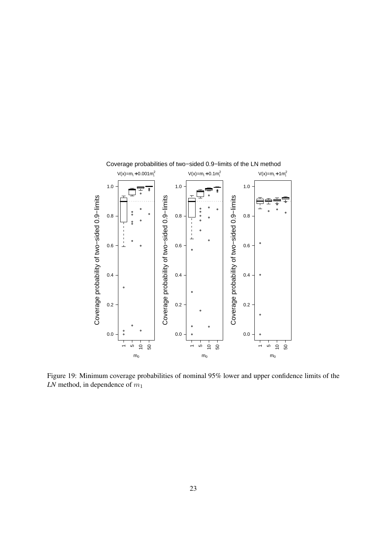

Figure 19: Minimum coverage probabilities of nominal 95% lower and upper confidence limits of the  $LN$  method, in dependence of  $m_1$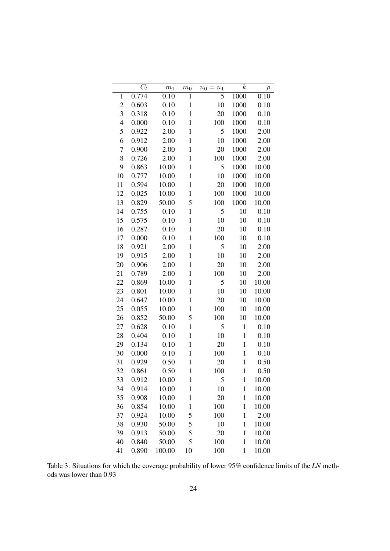|                | $C_l$ | m <sub>1</sub> | m <sub>0</sub> | $n_0 =$<br>$n_1$ | $\boldsymbol{k}$ | $\rho$ |
|----------------|-------|----------------|----------------|------------------|------------------|--------|
| $\mathbf{1}$   | 0.774 | 0.10           | 1              | 5                | 1000             | 0.10   |
| $\overline{c}$ | 0.603 | 0.10           | $\mathbf{1}$   | 10               | 1000             | 0.10   |
| 3              | 0.318 | 0.10           | $\mathbf{1}$   | 20               | 1000             | 0.10   |
| $\overline{4}$ | 0.000 | 0.10           | $\mathbf{1}$   | 100              | 1000             | 0.10   |
| 5              | 0.922 | 2.00           | $\mathbf{1}$   | 5                | 1000             | 2.00   |
| 6              | 0.912 | 2.00           | $\mathbf{1}$   | 10               | 1000             | 2.00   |
| $\overline{7}$ | 0.900 | 2.00           | $\mathbf{1}$   | 20               | 1000             | 2.00   |
| 8              | 0.726 | 2.00           | $\mathbf{1}$   | 100              | 1000             | 2.00   |
| 9              | 0.863 | 10.00          | $\mathbf{1}$   | 5                | 1000             | 10.00  |
| 10             | 0.777 | 10.00          | $\mathbf{1}$   | 10               | 1000             | 10.00  |
| 11             | 0.594 | 10.00          | $\mathbf{1}$   | 20               | 1000             | 10.00  |
| 12             | 0.025 | 10.00          | $\mathbf{1}$   | 100              | 1000             | 10.00  |
| 13             | 0.829 | 50.00          | 5              | 100              | 1000             | 10.00  |
| 14             | 0.755 | 0.10           | $\mathbf{1}$   | 5                | 10               | 0.10   |
| 15             | 0.575 | 0.10           | $\mathbf{1}$   | 10               | 10               | 0.10   |
| 16             | 0.287 | 0.10           | $\mathbf{1}$   | 20               | 10               | 0.10   |
| 17             | 0.000 | 0.10           | $\mathbf{1}$   | 100              | 10               | 0.10   |
| 18             | 0.921 | 2.00           | $\mathbf{1}$   | 5                | 10               | 2.00   |
| 19             | 0.915 | 2.00           | $\mathbf{1}$   | 10               | 10               | 2.00   |
| 20             | 0.906 | 2.00           | $\mathbf{1}$   | 20               | 10               | 2.00   |
| 21             | 0.789 | 2.00           | $\mathbf{1}$   | 100              | 10               | 2.00   |
| 22             | 0.869 | 10.00          | $\mathbf{1}$   | 5                | 10               | 10.00  |
| 23             | 0.801 | 10.00          | $\mathbf{1}$   | 10               | 10               | 10.00  |
| 24             | 0.647 | 10.00          | $\mathbf{1}$   | 20               | 10               | 10.00  |
| 25             | 0.055 | 10.00          | $\mathbf{1}$   | 100              | 10               | 10.00  |
| 26             | 0.852 | 50.00          | 5              | 100              | 10               | 10.00  |
| 27             | 0.628 | 0.10           | $\mathbf{1}$   | 5                | $\mathbf{1}$     | 0.10   |
| 28             | 0.404 | 0.10           | $\mathbf{1}$   | 10               | $\mathbf{1}$     | 0.10   |
| 29             | 0.134 | 0.10           | $\mathbf{1}$   | 20               | $\mathbf{1}$     | 0.10   |
| 30             | 0.000 | 0.10           | $\mathbf{1}$   | 100              | $\mathbf{1}$     | 0.10   |
| 31             | 0.929 | 0.50           | $\mathbf{1}$   | 20               | $\mathbf{1}$     | 0.50   |
| 32             | 0.861 | 0.50           | $\mathbf{1}$   | 100              | $\mathbf{1}$     | 0.50   |
| 33             | 0.912 | 10.00          | $\mathbf{1}$   | 5                | $\mathbf{1}$     | 10.00  |
| 34             | 0.914 | 10.00          | $\mathbf{1}$   | 10               | $\mathbf{1}$     | 10.00  |
| 35             | 0.908 | 10.00          | $\mathbf{1}$   | 20               | $\mathbf{1}$     | 10.00  |
| 36             | 0.854 | 10.00          | $\mathbf{1}$   | 100              | $\mathbf{1}$     | 10.00  |
| 37             | 0.924 | 10.00          | 5              | 100              | $\mathbf{1}$     | 2.00   |
| 38             | 0.930 | 50.00          | 5              | 10               | $\mathbf{1}$     | 10.00  |
| 39             | 0.913 | 50.00          | 5              | 20               | $\mathbf{1}$     | 10.00  |
| 40             | 0.840 | 50.00          | 5              | 100              | $\mathbf{1}$     | 10.00  |
| 41             | 0.890 | 100.00         | 10             | 100              | $\mathbf{1}$     | 10.00  |

Table 3: Situations for which the coverage probability of lower 95% confidence limits of the *LN* methods was lower than 0.93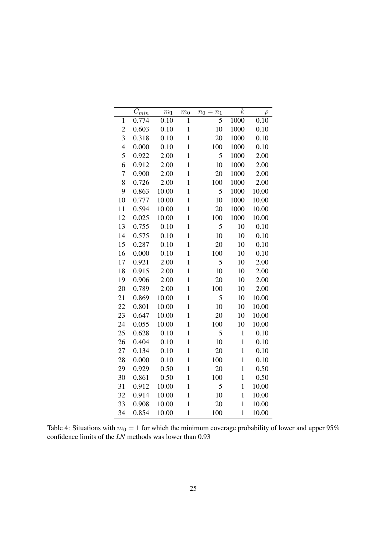|                | $\overline{C}_{\underbrace{min}}$ | m <sub>1</sub> | m <sub>0</sub> | $n_0$<br>$= n_1$ | $\boldsymbol{k}$ | $\rho$ |
|----------------|-----------------------------------|----------------|----------------|------------------|------------------|--------|
| $\mathbf{1}$   | 0.774                             | 0.10           | $\mathbf{1}$   | 5                | 1000             | 0.10   |
| $\overline{c}$ | 0.603                             | 0.10           | $\mathbf{1}$   | 10               | 1000             | 0.10   |
| 3              | 0.318                             | 0.10           | $\mathbf{1}$   | 20               | 1000             | 0.10   |
| $\overline{4}$ | 0.000                             | 0.10           | $\mathbf{1}$   | 100              | 1000             | 0.10   |
| 5              | 0.922                             | 2.00           | $\mathbf{1}$   | 5                | 1000             | 2.00   |
| 6              | 0.912                             | 2.00           | $\mathbf{1}$   | 10               | 1000             | 2.00   |
| $\overline{7}$ | 0.900                             | 2.00           | $\mathbf{1}$   | 20               | 1000             | 2.00   |
| 8              | 0.726                             | 2.00           | $\mathbf{1}$   | 100              | 1000             | 2.00   |
| 9              | 0.863                             | 10.00          | $\mathbf{1}$   | 5                | 1000             | 10.00  |
| 10             | 0.777                             | 10.00          | $\mathbf{1}$   | 10               | 1000             | 10.00  |
| 11             | 0.594                             | 10.00          | $\mathbf{1}$   | 20               | 1000             | 10.00  |
| 12             | 0.025                             | 10.00          | $\mathbf{1}$   | 100              | 1000             | 10.00  |
| 13             | 0.755                             | 0.10           | $\mathbf{1}$   | 5                | 10               | 0.10   |
| 14             | 0.575                             | 0.10           | $\mathbf{1}$   | 10               | 10               | 0.10   |
| 15             | 0.287                             | 0.10           | $\mathbf{1}$   | 20               | 10               | 0.10   |
| 16             | 0.000                             | 0.10           | $\mathbf{1}$   | 100              | 10               | 0.10   |
| 17             | 0.921                             | 2.00           | $\mathbf{1}$   | 5                | 10               | 2.00   |
| 18             | 0.915                             | 2.00           | $\mathbf{1}$   | 10               | 10               | 2.00   |
| 19             | 0.906                             | 2.00           | $\mathbf{1}$   | 20               | 10               | 2.00   |
| 20             | 0.789                             | 2.00           | $\mathbf{1}$   | 100              | 10               | 2.00   |
| 21             | 0.869                             | 10.00          | $\mathbf{1}$   | 5                | 10               | 10.00  |
| 22             | 0.801                             | 10.00          | $\mathbf{1}$   | 10               | 10               | 10.00  |
| 23             | 0.647                             | 10.00          | $\mathbf{1}$   | 20               | 10               | 10.00  |
| 24             | 0.055                             | 10.00          | $\mathbf{1}$   | 100              | 10               | 10.00  |
| 25             | 0.628                             | 0.10           | $\mathbf{1}$   | 5                | $\mathbf{1}$     | 0.10   |
| 26             | 0.404                             | 0.10           | $\mathbf{1}$   | 10               | $\mathbf{1}$     | 0.10   |
| 27             | 0.134                             | 0.10           | $\mathbf{1}$   | 20               | $\mathbf{1}$     | 0.10   |
| 28             | 0.000                             | 0.10           | $\mathbf{1}$   | 100              | $\mathbf{1}$     | 0.10   |
| 29             | 0.929                             | 0.50           | $\mathbf{1}$   | 20               | $\mathbf{1}$     | 0.50   |
| 30             | 0.861                             | 0.50           | $\mathbf{1}$   | 100              | $\mathbf{1}$     | 0.50   |
| 31             | 0.912                             | 10.00          | $\mathbf{1}$   | 5                | $\mathbf{1}$     | 10.00  |
| 32             | 0.914                             | 10.00          | $\mathbf{1}$   | 10               | $\mathbf{1}$     | 10.00  |
| 33             | 0.908                             | 10.00          | $\mathbf{1}$   | 20               | $\mathbf{1}$     | 10.00  |
| 34             | 0.854                             | 10.00          | $\mathbf 1$    | 100              | $\mathbf{1}$     | 10.00  |

Table 4: Situations with  $m_0 = 1$  for which the minimum coverage probability of lower and upper 95% confidence limits of the *LN* methods was lower than 0.93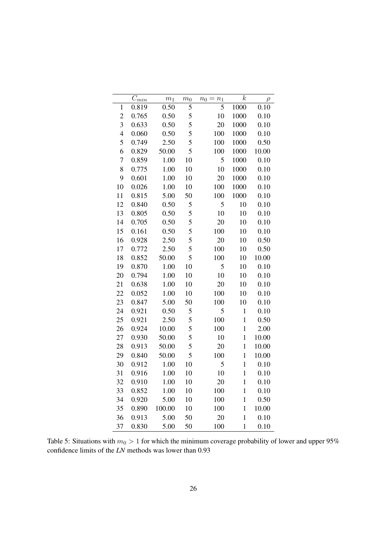|                | $\overline{C}_{min}$ | $\,m_1$ | m <sub>0</sub> | $n_1$<br>$n_0$<br>$=$ | $\boldsymbol{k}$ | $\rho$ |
|----------------|----------------------|---------|----------------|-----------------------|------------------|--------|
| $\mathbf{1}$   | 0.819                | 0.50    | 5              | 5                     | 1000             | 0.10   |
| $\overline{c}$ | 0.765                | 0.50    | 5              | 10                    | 1000             | 0.10   |
| 3              | 0.633                | 0.50    | 5              | 20                    | 1000             | 0.10   |
| $\overline{4}$ | 0.060                | 0.50    | 5              | 100                   | 1000             | 0.10   |
| 5              | 0.749                | 2.50    | 5              | 100                   | 1000             | 0.50   |
| 6              | 0.829                | 50.00   | 5              | 100                   | 1000             | 10.00  |
| 7              | 0.859                | 1.00    | 10             | 5                     | 1000             | 0.10   |
| 8              | 0.775                | 1.00    | 10             | 10                    | 1000             | 0.10   |
| 9              | 0.601                | 1.00    | 10             | 20                    | 1000             | 0.10   |
| 10             | 0.026                | 1.00    | 10             | 100                   | 1000             | 0.10   |
| 11             | 0.815                | 5.00    | 50             | 100                   | 1000             | 0.10   |
| 12             | 0.840                | 0.50    | 5              | 5                     | 10               | 0.10   |
| 13             | 0.805                | 0.50    | 5              | 10                    | 10               | 0.10   |
| 14             | 0.705                | 0.50    | 5              | 20                    | 10               | 0.10   |
| 15             | 0.161                | 0.50    | 5              | 100                   | 10               | 0.10   |
| 16             | 0.928                | 2.50    | 5              | 20                    | 10               | 0.50   |
| 17             | 0.772                | 2.50    | 5              | 100                   | 10               | 0.50   |
| 18             | 0.852                | 50.00   | 5              | 100                   | 10               | 10.00  |
| 19             | 0.870                | 1.00    | 10             | 5                     | 10               | 0.10   |
| 20             | 0.794                | 1.00    | 10             | 10                    | 10               | 0.10   |
| 21             | 0.638                | 1.00    | 10             | 20                    | 10               | 0.10   |
| 22             | 0.052                | 1.00    | 10             | 100                   | 10               | 0.10   |
| 23             | 0.847                | 5.00    | 50             | 100                   | 10               | 0.10   |
| 24             | 0.921                | 0.50    | 5              | 5                     | $\mathbf{1}$     | 0.10   |
| 25             | 0.921                | 2.50    | 5              | 100                   | $\mathbf{1}$     | 0.50   |
| 26             | 0.924                | 10.00   | 5              | 100                   | $\mathbf{1}$     | 2.00   |
| 27             | 0.930                | 50.00   | 5              | 10                    | $\mathbf{1}$     | 10.00  |
| 28             | 0.913                | 50.00   | 5              | 20                    | $\mathbf{1}$     | 10.00  |
| 29             | 0.840                | 50.00   | 5              | 100                   | $\mathbf{1}$     | 10.00  |
| 30             | 0.912                | 1.00    | 10             | 5                     | $\mathbf{1}$     | 0.10   |
| 31             | 0.916                | 1.00    | 10             | 10                    | $\mathbf{1}$     | 0.10   |
| 32             | 0.910                | 1.00    | 10             | 20                    | $\mathbf{1}$     | 0.10   |
| 33             | 0.852                | 1.00    | 10             | 100                   | $\mathbf{1}$     | 0.10   |
| 34             | 0.920                | 5.00    | 10             | 100                   | $\mathbf{1}$     | 0.50   |
| 35             | 0.890                | 100.00  | 10             | 100                   | $\mathbf{1}$     | 10.00  |
| 36             | 0.913                | 5.00    | 50             | 20                    | $\mathbf{1}$     | 0.10   |
| 37             | 0.830                | 5.00    | 50             | 100                   | $\mathbf{1}$     | 0.10   |

Table 5: Situations with  $m_0 > 1$  for which the minimum coverage probability of lower and upper 95% confidence limits of the *LN* methods was lower than 0.93